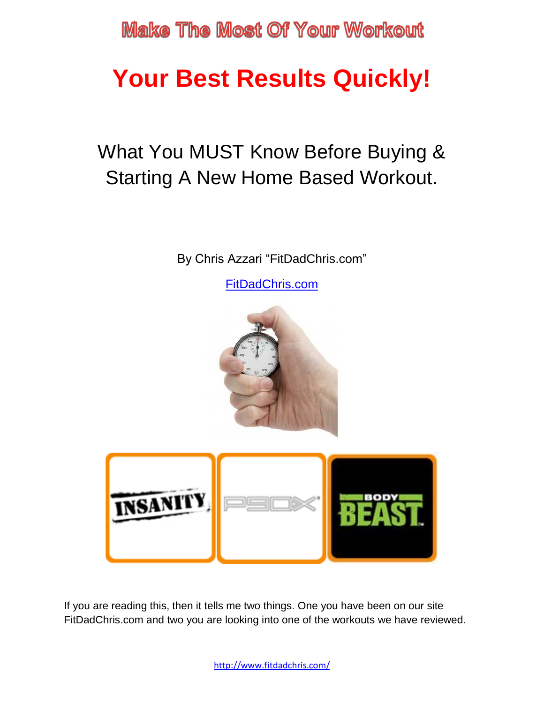# **Your Best Results Quickly!**

## What You MUST Know Before Buying & Starting A New Home Based Workout.

By Chris Azzari "FitDadChris.com"

[FitDadChris.com](http://fitdadchris.com/)



If you are reading this, then it tells me two things. One you have been on our site FitDadChris.com and two you are looking into one of the workouts we have reviewed.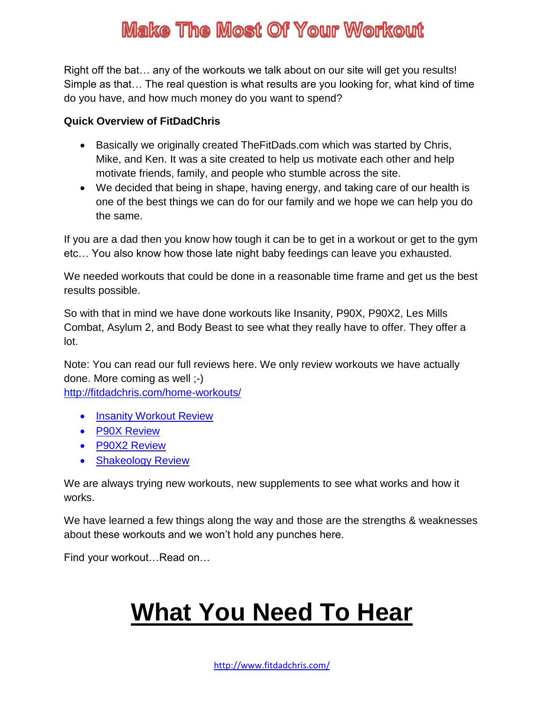Right off the bat… any of the workouts we talk about on our site will get you results! Simple as that… The real question is what results are you looking for, what kind of time do you have, and how much money do you want to spend?

#### **Quick Overview of FitDadChris**

- Basically we originally created TheFitDads.com which was started by Chris, Mike, and Ken. It was a site created to help us motivate each other and help motivate friends, family, and people who stumble across the site.
- We decided that being in shape, having energy, and taking care of our health is one of the best things we can do for our family and we hope we can help you do the same.

If you are a dad then you know how tough it can be to get in a workout or get to the gym etc… You also know how those late night baby feedings can leave you exhausted.

We needed workouts that could be done in a reasonable time frame and get us the best results possible.

So with that in mind we have done workouts like Insanity, P90X, P90X2, Les Mills Combat, Asylum 2, and Body Beast to see what they really have to offer. They offer a lot.

Note: You can read our full reviews here. We only review workouts we have actually done. More coming as well ;-) <http://fitdadchris.com/home-workouts/>

• [Insanity Workout Review](http://fitdadchris.com/insanity-workout-review/)

- [P90X Review](http://fitdadchris.com/p90x-workout-review/)
- [P90X2 Review](http://fitdadchris.com/p90x2-review/)
- [Shakeology Review](http://fitdadchris.com/shakeology-reviews/)

We are always trying new workouts, new supplements to see what works and how it works.

We have learned a few things along the way and those are the strengths & weaknesses about these workouts and we won't hold any punches here.

Find your workout…Read on…

# **What You Need To Hear**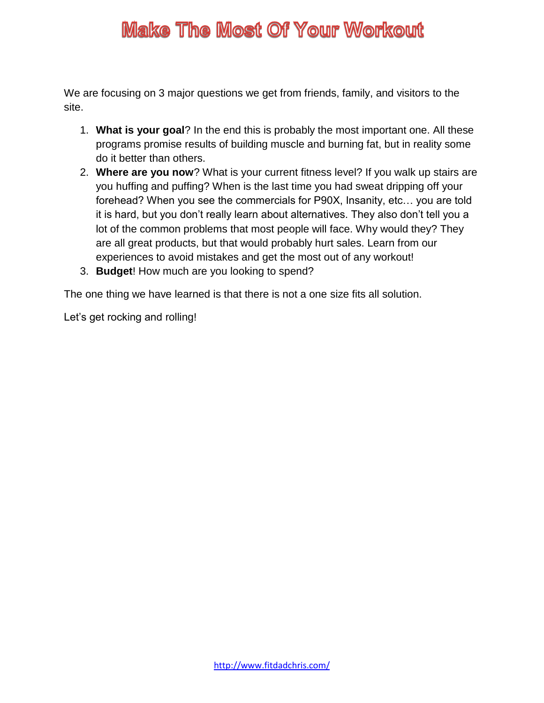We are focusing on 3 major questions we get from friends, family, and visitors to the site.

- 1. **What is your goal**? In the end this is probably the most important one. All these programs promise results of building muscle and burning fat, but in reality some do it better than others.
- 2. **Where are you now**? What is your current fitness level? If you walk up stairs are you huffing and puffing? When is the last time you had sweat dripping off your forehead? When you see the commercials for P90X, Insanity, etc… you are told it is hard, but you don't really learn about alternatives. They also don't tell you a lot of the common problems that most people will face. Why would they? They are all great products, but that would probably hurt sales. Learn from our experiences to avoid mistakes and get the most out of any workout!
- 3. **Budget**! How much are you looking to spend?

The one thing we have learned is that there is not a one size fits all solution.

Let's get rocking and rolling!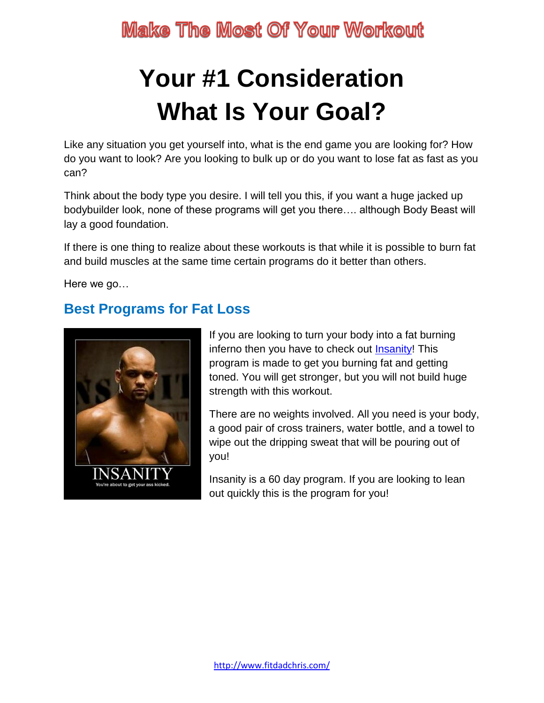# **Your #1 Consideration What Is Your Goal?**

Like any situation you get yourself into, what is the end game you are looking for? How do you want to look? Are you looking to bulk up or do you want to lose fat as fast as you can?

Think about the body type you desire. I will tell you this, if you want a huge jacked up bodybuilder look, none of these programs will get you there…. although Body Beast will lay a good foundation.

If there is one thing to realize about these workouts is that while it is possible to burn fat and build muscles at the same time certain programs do it better than others.

Here we go…

#### **Best Programs for Fat Loss**



If you are looking to turn your body into a fat burning inferno then you have to check out [Insanity!](http://fitdadchris.com/insanity-workout-review/) This program is made to get you burning fat and getting toned. You will get stronger, but you will not build huge strength with this workout.

There are no weights involved. All you need is your body, a good pair of cross trainers, water bottle, and a towel to wipe out the dripping sweat that will be pouring out of you!

Insanity is a 60 day program. If you are looking to lean out quickly this is the program for you!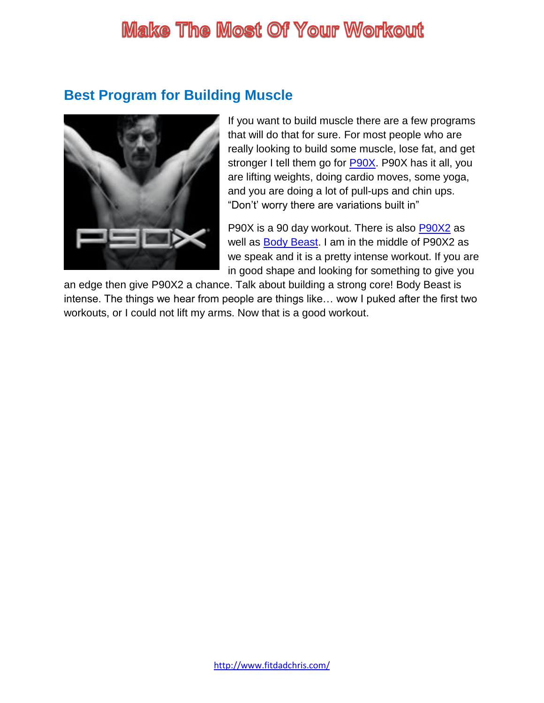#### **Best Program for Building Muscle**



If you want to build muscle there are a few programs that will do that for sure. For most people who are really looking to build some muscle, lose fat, and get stronger I tell them go for [P90X.](http://fitdadchris.com/p90x-workout-review/) P90X has it all, you are lifting weights, doing cardio moves, some yoga, and you are doing a lot of pull-ups and chin ups. "Don't' worry there are variations built in"

P90X is a 90 day workout. There is also **P90X2** as well as **Body Beast**. I am in the middle of P90X2 as we speak and it is a pretty intense workout. If you are in good shape and looking for something to give you

an edge then give P90X2 a chance. Talk about building a strong core! Body Beast is intense. The things we hear from people are things like… wow I puked after the first two workouts, or I could not lift my arms. Now that is a good workout.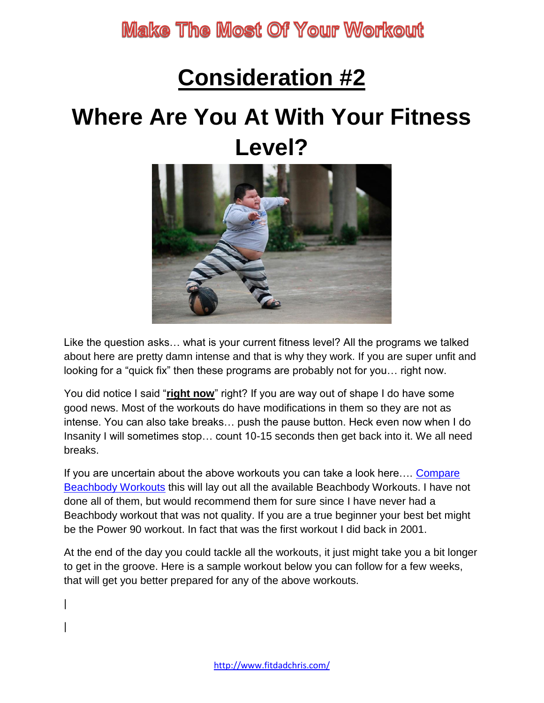# **Consideration #2**

# **Where Are You At With Your Fitness Level?**



Like the question asks… what is your current fitness level? All the programs we talked about here are pretty damn intense and that is why they work. If you are super unfit and looking for a "quick fix" then these programs are probably not for you… right now.

You did notice I said "**right now**" right? If you are way out of shape I do have some good news. Most of the workouts do have modifications in them so they are not as intense. You can also take breaks… push the pause button. Heck even now when I do Insanity I will sometimes stop… count 10-15 seconds then get back into it. We all need breaks.

If you are uncertain about the above workouts you can take a look here.... Compare [Beachbody Workouts](https://www.teambeachbody.com/checkout/-/checkout/challengepack?referringRepId=138818) this will lay out all the available Beachbody Workouts. I have not done all of them, but would recommend them for sure since I have never had a Beachbody workout that was not quality. If you are a true beginner your best bet might be the Power 90 workout. In fact that was the first workout I did back in 2001.

At the end of the day you could tackle all the workouts, it just might take you a bit longer to get in the groove. Here is a sample workout below you can follow for a few weeks, that will get you better prepared for any of the above workouts.

| |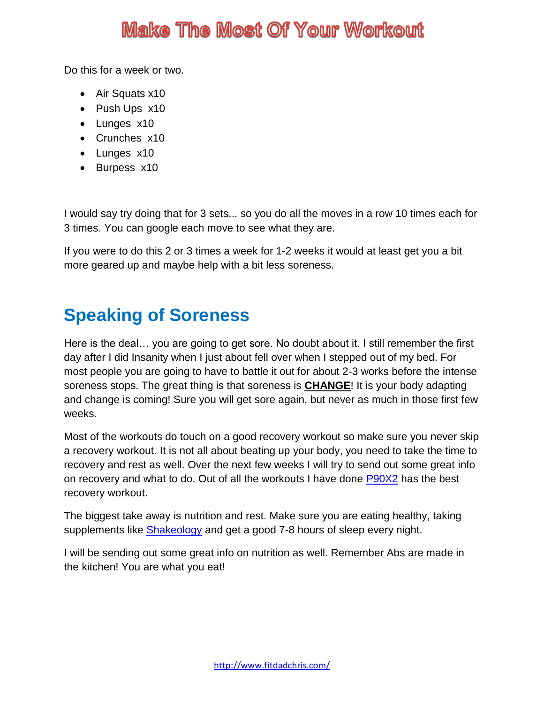Do this for a week or two.

- Air Squats x10
- Push Ups x10
- Lunges x10
- Crunches x10
- Lunges x10
- Burpess x10

I would say try doing that for 3 sets... so you do all the moves in a row 10 times each for 3 times. You can google each move to see what they are.

If you were to do this 2 or 3 times a week for 1-2 weeks it would at least get you a bit more geared up and maybe help with a bit less soreness.

#### **Speaking of Soreness**

Here is the deal… you are going to get sore. No doubt about it. I still remember the first day after I did Insanity when I just about fell over when I stepped out of my bed. For most people you are going to have to battle it out for about 2-3 works before the intense soreness stops. The great thing is that soreness is **CHANGE**! It is your body adapting and change is coming! Sure you will get sore again, but never as much in those first few weeks.

Most of the workouts do touch on a good recovery workout so make sure you never skip a recovery workout. It is not all about beating up your body, you need to take the time to recovery and rest as well. Over the next few weeks I will try to send out some great info on recovery and what to do. Out of all the workouts I have done [P90X2](http://fitdadchris.com/p90x2-review/) has the best recovery workout.

The biggest take away is nutrition and rest. Make sure you are eating healthy, taking supplements like **Shakeology** and get a good 7-8 hours of sleep every night.

I will be sending out some great info on nutrition as well. Remember Abs are made in the kitchen! You are what you eat!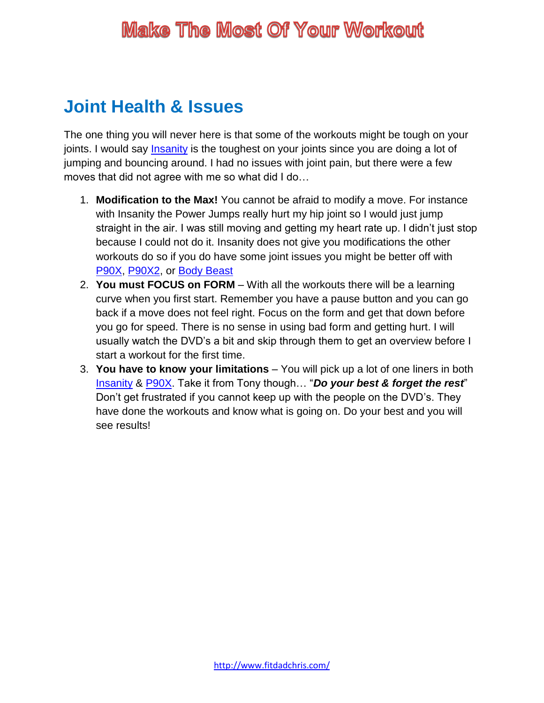#### **Joint Health & Issues**

The one thing you will never here is that some of the workouts might be tough on your joints. I would say [Insanity](http://fitdadchris.com/insanity-workout-review/) is the toughest on your joints since you are doing a lot of jumping and bouncing around. I had no issues with joint pain, but there were a few moves that did not agree with me so what did I do…

- 1. **Modification to the Max!** You cannot be afraid to modify a move. For instance with Insanity the Power Jumps really hurt my hip joint so I would just jump straight in the air. I was still moving and getting my heart rate up. I didn't just stop because I could not do it. Insanity does not give you modifications the other workouts do so if you do have some joint issues you might be better off with [P90X,](http://fitdadchris.com/p90x-workout-review/) [P90X2,](http://fitdadchris.com/p90x2-review/) or [Body Beast](http://fitdadchris.com/body-beast/)
- 2. **You must FOCUS on FORM** With all the workouts there will be a learning curve when you first start. Remember you have a pause button and you can go back if a move does not feel right. Focus on the form and get that down before you go for speed. There is no sense in using bad form and getting hurt. I will usually watch the DVD's a bit and skip through them to get an overview before I start a workout for the first time.
- 3. **You have to know your limitations**  You will pick up a lot of one liners in both [Insanity](http://fitdadchris.com/insanity-workout-review/) & [P90X.](http://fitdadchris.com/p90x-workout-review/) Take it from Tony though… "*Do your best & forget the rest*" Don't get frustrated if you cannot keep up with the people on the DVD's. They have done the workouts and know what is going on. Do your best and you will see results!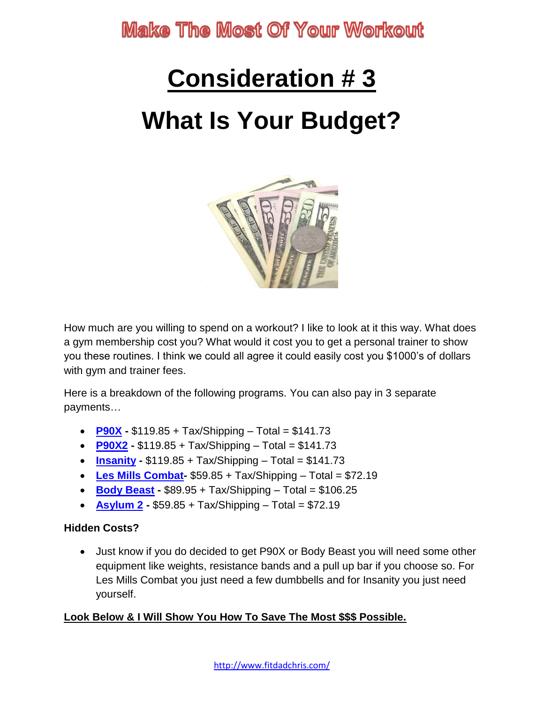# **Consideration # 3 What Is Your Budget?**



How much are you willing to spend on a workout? I like to look at it this way. What does a gym membership cost you? What would it cost you to get a personal trainer to show you these routines. I think we could all agree it could easily cost you \$1000's of dollars with gym and trainer fees.

Here is a breakdown of the following programs. You can also pay in 3 separate payments…

- **[P90X](http://fitdadchris.com/p90x-workout-review/) -** \$119.85 + Tax/Shipping Total = \$141.73
- **[P90X2](http://fitdadchris.com/p90x2-review/) -** \$119.85 + Tax/Shipping Total = \$141.73
- **[Insanity](http://fitdadchris.com/insanity-workout-review/) -** \$119.85 + Tax/Shipping Total = \$141.73
- **[Les Mills Combat-](http://fitdadchris.com/les-mills-combat-review/)** \$59.85 + Tax/Shipping Total = \$72.19
- **[Body Beast](http://fitdadchris.com/body-beast/) -** \$89.95 + Tax/Shipping Total = \$106.25
- **[Asylum 2](http://fitdadchris.com/insanity-asylum-2-review/) -** \$59.85 + Tax/Shipping Total = \$72.19

#### **Hidden Costs?**

 Just know if you do decided to get P90X or Body Beast you will need some other equipment like weights, resistance bands and a pull up bar if you choose so. For Les Mills Combat you just need a few dumbbells and for Insanity you just need yourself.

#### **Look Below & I Will Show You How To Save The Most \$\$\$ Possible.**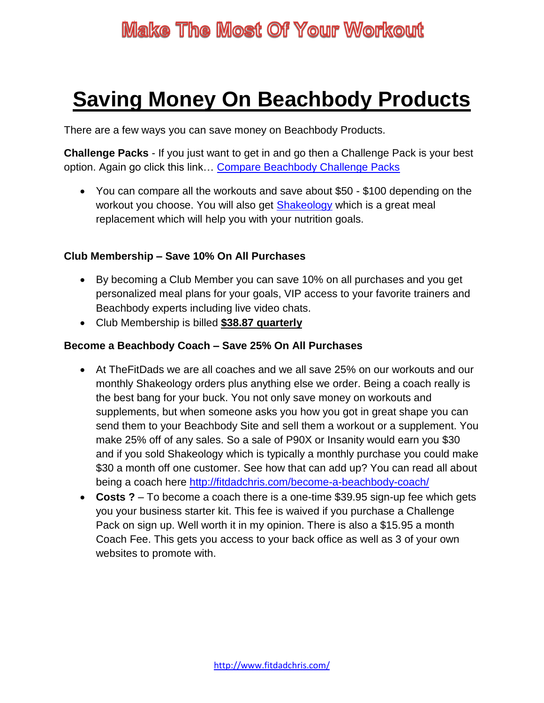## **Saving Money On Beachbody Products**

There are a few ways you can save money on Beachbody Products.

**Challenge Packs** - If you just want to get in and go then a Challenge Pack is your best option. Again go click this link… [Compare Beachbody Challenge Packs](https://www.teambeachbody.com/checkout/-/checkout/challengepack?referringRepId=138818)

 You can compare all the workouts and save about \$50 - \$100 depending on the workout you choose. You will also get [Shakeology](http://fitdadchris.com/what-is-shakeology/) which is a great meal replacement which will help you with your nutrition goals.

#### **Club Membership – Save 10% On All Purchases**

- By becoming a Club Member you can save 10% on all purchases and you get personalized meal plans for your goals, VIP access to your favorite trainers and Beachbody experts including live video chats.
- Club Membership is billed **\$38.87 quarterly**

#### **Become a Beachbody Coach – Save 25% On All Purchases**

- At TheFitDads we are all coaches and we all save 25% on our workouts and our monthly Shakeology orders plus anything else we order. Being a coach really is the best bang for your buck. You not only save money on workouts and supplements, but when someone asks you how you got in great shape you can send them to your Beachbody Site and sell them a workout or a supplement. You make 25% off of any sales. So a sale of P90X or Insanity would earn you \$30 and if you sold Shakeology which is typically a monthly purchase you could make \$30 a month off one customer. See how that can add up? You can read all about being a coach here<http://fitdadchris.com/become-a-beachbody-coach/>
- **Costs ?** To become a coach there is a one-time \$39.95 sign-up fee which gets you your business starter kit. This fee is waived if you purchase a Challenge Pack on sign up. Well worth it in my opinion. There is also a \$15.95 a month Coach Fee. This gets you access to your back office as well as 3 of your own websites to promote with.